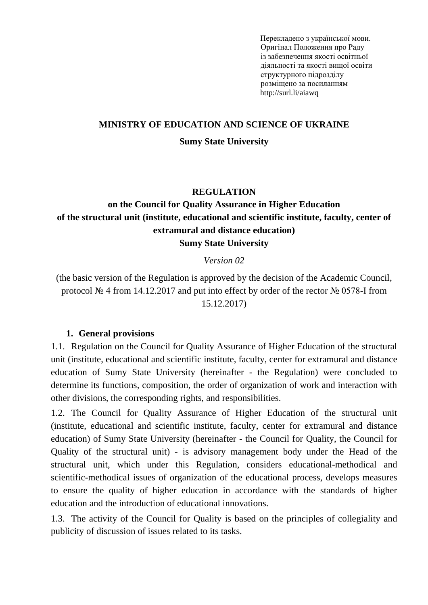Перекладено з української мови. Оригінал Положення про Раду із забезпечення якості освітньої діяльності та якості вищої освіти структурного підрозділу розміщено за посиланням http://surl.li/aiawq

### **MINISTRY OF EDUCATION AND SCIENCE OF UKRAINE**

#### **Sumy State University**

#### **REGULATION**

# **on the Council for Quality Assurance in Higher Education of the structural unit (institute, educational and scientific institute, faculty, center of extramural and distance education) Sumy State University**

#### *Version 02*

(the basic version of the Regulation is approved by the decision of the Academic Council, protocol № 4 from 14.12.2017 and put into effect by order of the rector № 0578-I from 15.12.2017)

#### **1. General provisions**

1.1. Regulation on the Council for Quality Assurance of Higher Education of the structural unit (institute, educational and scientific institute, faculty, center for extramural and distance education of Sumy State University (hereinafter - the Regulation) were concluded to determine its functions, composition, the order of organization of work and interaction with other divisions, the corresponding rights, and responsibilities.

1.2. The Council for Quality Assurance of Higher Education of the structural unit (institute, educational and scientific institute, faculty, center for extramural and distance education) of Sumy State University (hereinafter - the Council for Quality, the Council for Quality of the structural unit) - is advisory management body under the Head of the structural unit, which under this Regulation, considers educational-methodical and scientific-methodical issues of organization of the educational process, develops measures to ensure the quality of higher education in accordance with the standards of higher education and the introduction of educational innovations.

1.3. The activity of the Council for Quality is based on the principles of collegiality and publicity of discussion of issues related to its tasks.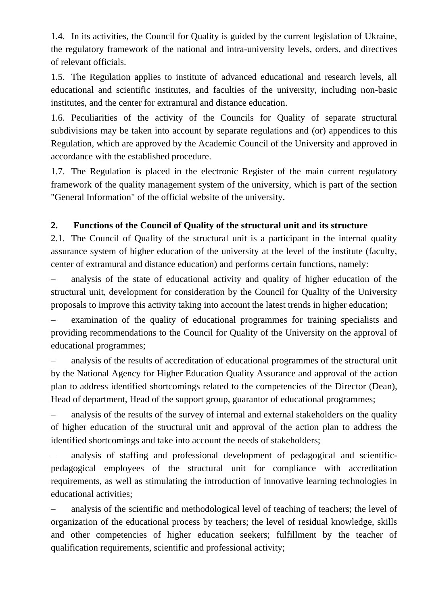1.4. In its activities, the Council for Quality is guided by the current legislation of Ukraine, the regulatory framework of the national and intra-university levels, orders, and directives of relevant officials.

1.5. The Regulation applies to institute of advanced educational and research levels, all educational and scientific institutes, and faculties of the university, including non-basic institutes, and the center for extramural and distance education.

1.6. Peculiarities of the activity of the Councils for Quality of separate structural subdivisions may be taken into account by separate regulations and (or) appendices to this Regulation, which are approved by the Academic Council of the University and approved in accordance with the established procedure.

1.7. The Regulation is placed in the electronic Register of the main current regulatory framework of the quality management system of the university, which is part of the section "General Information" of the official website of the university.

### **2. Functions of the Council of Quality of the structural unit and its structure**

2.1. The Council of Quality of the structural unit is a participant in the internal quality assurance system of higher education of the university at the level of the institute (faculty, center of extramural and distance education) and performs certain functions, namely:

– analysis of the state of educational activity and quality of higher education of the structural unit, development for consideration by the Council for Quality of the University proposals to improve this activity taking into account the latest trends in higher education;

– examination of the quality of educational programmes for training specialists and providing recommendations to the Council for Quality of the University on the approval of educational programmes;

– analysis of the results of accreditation of educational programmes of the structural unit by the National Agency for Higher Education Quality Assurance and approval of the action plan to address identified shortcomings related to the competencies of the Director (Dean), Head of department, Head of the support group, guarantor of educational programmes;

– analysis of the results of the survey of internal and external stakeholders on the quality of higher education of the structural unit and approval of the action plan to address the identified shortcomings and take into account the needs of stakeholders;

– analysis of staffing and professional development of pedagogical and scientificpedagogical employees of the structural unit for compliance with accreditation requirements, as well as stimulating the introduction of innovative learning technologies in educational activities;

– analysis of the scientific and methodological level of teaching of teachers; the level of organization of the educational process by teachers; the level of residual knowledge, skills and other competencies of higher education seekers; fulfillment by the teacher of qualification requirements, scientific and professional activity;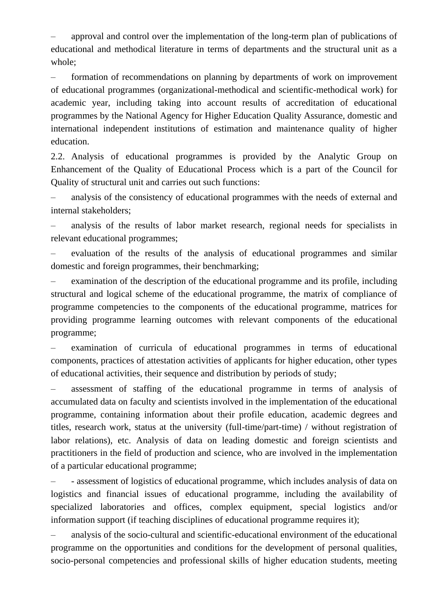– approval and control over the implementation of the long-term plan of publications of educational and methodical literature in terms of departments and the structural unit as a whole;

– formation of recommendations on planning by departments of work on improvement of educational programmes (organizational-methodical and scientific-methodical work) for academic year, including taking into account results of accreditation of educational programmes by the National Agency for Higher Education Quality Assurance, domestic and international independent institutions of estimation and maintenance quality of higher education.

2.2. Analysis of educational programmes is provided by the Analytic Group on Enhancement of the Quality of Educational Process which is a part of the Council for Quality of structural unit and carries out such functions:

– analysis of the consistency of educational programmes with the needs of external and internal stakeholders;

– analysis of the results of labor market research, regional needs for specialists in relevant educational programmes;

– evaluation of the results of the analysis of educational programmes and similar domestic and foreign programmes, their benchmarking;

– examination of the description of the educational programme and its profile, including structural and logical scheme of the educational programme, the matrix of compliance of programme competencies to the components of the educational programme, matrices for providing programme learning outcomes with relevant components of the educational programme;

– examination of curricula of educational programmes in terms of educational components, practices of attestation activities of applicants for higher education, other types of educational activities, their sequence and distribution by periods of study;

– assessment of staffing of the educational programme in terms of analysis of accumulated data on faculty and scientists involved in the implementation of the educational programme, containing information about their profile education, academic degrees and titles, research work, status at the university (full-time/part-time) / without registration of labor relations), etc. Analysis of data on leading domestic and foreign scientists and practitioners in the field of production and science, who are involved in the implementation of a particular educational programme;

– - assessment of logistics of educational programme, which includes analysis of data on logistics and financial issues of educational programme, including the availability of specialized laboratories and offices, complex equipment, special logistics and/or information support (if teaching disciplines of educational programme requires it);

– analysis of the socio-cultural and scientific-educational environment of the educational programme on the opportunities and conditions for the development of personal qualities, socio-personal competencies and professional skills of higher education students, meeting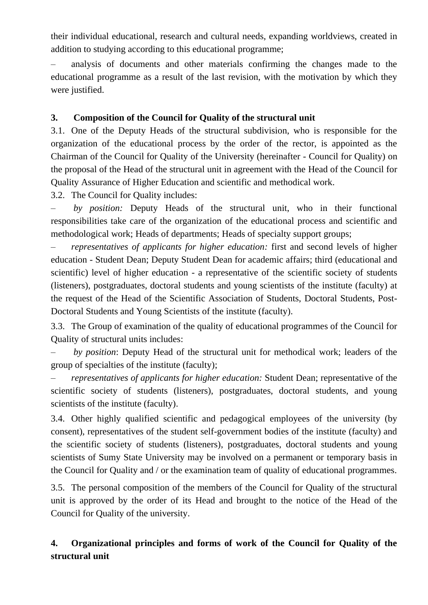their individual educational, research and cultural needs, expanding worldviews, created in addition to studying according to this educational programme;

– analysis of documents and other materials confirming the changes made to the educational programme as a result of the last revision, with the motivation by which they were justified.

### **3. Composition of the Council for Quality of the structural unit**

3.1. One of the Deputy Heads of the structural subdivision, who is responsible for the organization of the educational process by the order of the rector, is appointed as the Chairman of the Council for Quality of the University (hereinafter - Council for Quality) on the proposal of the Head of the structural unit in agreement with the Head of the Council for Quality Assurance of Higher Education and scientific and methodical work.

3.2. The Council for Quality includes:

– *by position:* Deputy Heads of the structural unit, who in their functional responsibilities take care of the organization of the educational process and scientific and methodological work; Heads of departments; Heads of specialty support groups;

– *representatives of applicants for higher education:* first and second levels of higher education - Student Dean; Deputy Student Dean for academic affairs; third (educational and scientific) level of higher education - a representative of the scientific society of students (listeners), postgraduates, doctoral students and young scientists of the institute (faculty) at the request of the Head of the Scientific Association of Students, Doctoral Students, Post-Doctoral Students and Young Scientists of the institute (faculty).

3.3. The Group of examination of the quality of educational programmes of the Council for Quality of structural units includes:

– *by position*: Deputy Head of the structural unit for methodical work; leaders of the group of specialties of the institute (faculty);

– *representatives of applicants for higher education:* Student Dean; representative of the scientific society of students (listeners), postgraduates, doctoral students, and young scientists of the institute (faculty).

3.4. Other highly qualified scientific and pedagogical employees of the university (by consent), representatives of the student self-government bodies of the institute (faculty) and the scientific society of students (listeners), postgraduates, doctoral students and young scientists of Sumy State University may be involved on a permanent or temporary basis in the Council for Quality and / or the examination team of quality of educational programmes.

3.5. The personal composition of the members of the Council for Quality of the structural unit is approved by the order of its Head and brought to the notice of the Head of the Council for Quality of the university.

# **4. Organizational principles and forms of work of the Council for Quality of the structural unit**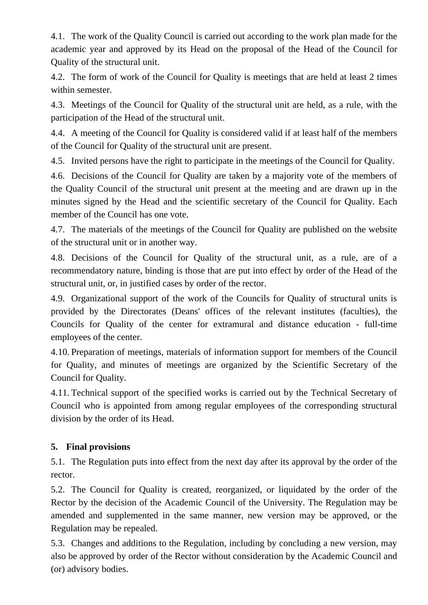4.1. The work of the Quality Council is carried out according to the work plan made for the academic year and approved by its Head on the proposal of the Head of the Council for Quality of the structural unit.

4.2. The form of work of the Council for Quality is meetings that are held at least 2 times within semester.

4.3. Meetings of the Council for Quality of the structural unit are held, as a rule, with the participation of the Head of the structural unit.

4.4. A meeting of the Council for Quality is considered valid if at least half of the members of the Council for Quality of the structural unit are present.

4.5. Invited persons have the right to participate in the meetings of the Council for Quality.

4.6. Decisions of the Council for Quality are taken by a majority vote of the members of the Quality Council of the structural unit present at the meeting and are drawn up in the minutes signed by the Head and the scientific secretary of the Council for Quality. Each member of the Council has one vote.

4.7. The materials of the meetings of the Council for Quality are published on the website of the structural unit or in another way.

4.8. Decisions of the Council for Quality of the structural unit, as a rule, are of a recommendatory nature, binding is those that are put into effect by order of the Head of the structural unit, or, in justified cases by order of the rector.

4.9. Organizational support of the work of the Councils for Quality of structural units is provided by the Directorates (Deans' offices of the relevant institutes (faculties), the Councils for Quality of the center for extramural and distance education - full-time employees of the center.

4.10. Preparation of meetings, materials of information support for members of the Council for Quality, and minutes of meetings are organized by the Scientific Secretary of the Council for Quality.

4.11. Technical support of the specified works is carried out by the Technical Secretary of Council who is appointed from among regular employees of the corresponding structural division by the order of its Head.

# **5. Final provisions**

5.1. The Regulation puts into effect from the next day after its approval by the order of the rector.

5.2. The Council for Quality is created, reorganized, or liquidated by the order of the Rector by the decision of the Academic Council of the University. The Regulation may be amended and supplemented in the same manner, new version may be approved, or the Regulation may be repealed.

5.3. Changes and additions to the Regulation, including by concluding a new version, may also be approved by order of the Rector without consideration by the Academic Council and (or) advisory bodies.